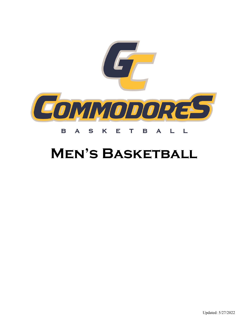

### K  $\mathbf T$ B S E A B A L L

## **MEN'S BASKETBALL**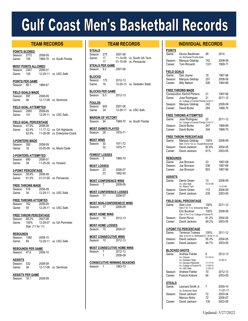# **Gulf Coast Men's Basketball Records**

**POINTS SCORED** Season: 2772 2008-09 Game: 159 1969-70 vs. South Florida

**MOST POINTS ALLOWED**<br>Season: 2347 2006-07 Season: 2347<br>Game: 125 12-29-11 vs. USC-Salk.

**POINTS PER GAME** Season: 88.1 1966-67

**FIELD GOALS MADE** Season: 997 2008-09<br>Game: 46 12-17-08 12-17-08 vs. Seminole

**FIELD GOAL ATTEMPTED** Season: 2083 2008-09<br>Game: 101 12-29-11 12-29-11 vs. USC-Salk.

**FIELD GOAL PERCENTAGE** Season: 47.9% 2008-09 Game: 62.9% 11-17-12 vs. GA Highlands<br>62.9% 11-28-08 vs. Enterprise-Oza 62.9% 11-28-08 vs. Enterprise-Ozark

**3-POINTERS MADE** Season: 260 2008-09<br>Game: 16 03-05-09 03-05-09 vs. Miami Dade

**3-POINTERS ATTEMPTED** Season: 690 2006-07<br>Game: 38 11-25-09 11-25-09 vs. Howard

**3-POINT PERCENTAGE** Season: 38.8% 2008-09<br>Game: 61.5% 01-31-09 01-31-09 vs. Pensacola

**FREE THROWS MADE** Season: 518 2008-09<br>Game: 34 12-29-11 12-29-11 vs. USC-Salk.

**FREE THROWS ATTEMTED** Season: 762 2008-09<br>Game: 55 12-29-11 12-29-11 vs. USC-Salk.

**FREE THROW PERCENTAGE** Season: 68.2% 2007-08<br>Game: 100% 12-29-07 12-29-07 vs, GA Perimeter Stat: (11 for 11)

**REBOUNDS** Season: 1380 2009-10<br>Game: 69 12-29-11 12-29-11 vs. USC-Salk.

**REBOUNDS PER GAME** Season: 47.6 2009-10

**ASSISTS** Season: 532 2008-09 Game: 38 12-17-08 vs. Seminole

**ASSISTS PER GAME**<br>Season: 16.1 2008-09 Season: 16.1

| STEALS                 |     |         |                            |
|------------------------|-----|---------|----------------------------|
| Season:                | 275 | 2007-08 |                            |
| Game:                  | 17  |         | 11-14-09 vs. South GA Tech |
|                        | 17  |         | 01-10-09 vs. Pensacola     |
| <b>STEALS PER GAME</b> |     |         |                            |
| Season: 9.2            |     | 2007-08 |                            |

| <b>BLOCKS</b> |    |         |                            |
|---------------|----|---------|----------------------------|
| Season: 175   |    | 2012-13 |                            |
| Game:         | 16 |         | 12-29-13 vs. Gadsden State |

**BLOCKS PER GAME**<br>Season: 6.0 2012-13 Season: 6.0

**FOULDS**

Season: 605 2007-08 Game: 34 12-29-11 vs. USC-Salk.

**MARGIN OF VICTORY** Season: 94 1969-70 vs. South Florida

**MOST GAMES PLAYED**<br>Season 38 1970-71 Season: 38

**MOST WINS** Season: 32 1971-72<br>32 1970-71 32 1970-71

**FEWEST LOSSES** Season: 3 1969-70

**MOST LOSSES** Season: 23 2006-07<br>23 1992-93 23 1992-93

**MOST CONFERENCE WINS** Season: 7 2008-09

**MOST CONFERENCE LOSSES** Season: 11 2006-07

**MOST NON-CONFERENECE WINS**<br>Season: 17 2008-09 Season: 17

**MOST HOME WINS** Season: 10 2012-13

MOST HOME LOSSES<br>Season: 15 2006-07 Season: 15

**MOST CONSECUTIVE WINS** Season: 10 2012-13

**MOST CONSECUTIVE HOME WINS** Season: 7 2012-13 7 2008-09

**CONSECUTIVE WINNING SEASONS** Season: 1 1963-73

### **TEAM RECORDS TEAM RECORDS INDIVIDUAL RECORDS**

| POINTS<br>Game:      | Devon Baulkman                                                   | 48           | 2014               |
|----------------------|------------------------------------------------------------------|--------------|--------------------|
|                      | Vs. Northwest Florida State                                      |              |                    |
| Season:<br>Career:   | Marquis Gilstrap<br><b>Tom Riccardi</b>                          | 742<br>1331  | 2008-09<br>1969-71 |
| FIELD GOALS          |                                                                  |              |                    |
| Game:                | Dan Joyner                                                       | 19           | 1967-68            |
| Season:              | Marquis Gilstrap                                                 | 257          | 2008-09            |
| Career:              | <b>Billy Nelson</b>                                              | 426          | 1964-66            |
|                      | <b>FREE THROWS MADE</b>                                          |              |                    |
|                      | <b>Consecutive: Kermit Perkins</b>                               | 21           | 1967-68            |
| Game:                | Jose Rodriguez<br>Vs. College of Central Florida 12-02-11        | 21           | 2011-12            |
| Season:              | Marquis Gilstrap                                                 | 242          | 2008-09            |
| Career:              | David Burke                                                      | 284          | 1968-70            |
|                      | <b>FREE THROWS ATTEMPTED</b>                                     |              |                    |
| Game:                | Jose Rodriguez                                                   | 25           | 2011-12            |
| Season:              | Vs. College of Central Florida 12-02-11<br>David Burke           | 247          | 1968-69            |
| Career:              | David Burke                                                      | 344          | 1968-70            |
|                      |                                                                  |              |                    |
|                      | <b>FREE THROW PERCENTAGE</b>                                     |              |                    |
| Game:                | Marquis Gilstrap                                                 | 100%         | 2008-09            |
|                      | Stat: (12 for 12) vs. Trusett-McConnell<br>David Jackson         |              |                    |
| Season:              |                                                                  | 82.8%<br>81% | 2004-05            |
| Career:              | David Jackson                                                    |              | 2003-05            |
| <b>REBOUNDS</b>      |                                                                  |              |                    |
| Game:                | Joe Bronson                                                      | 33           | 1967-68            |
| Season:              | Joe Bronson                                                      | 536          | 1967-68            |
| Career:              | Joe Bronson                                                      | 803          | 1967-69            |
| ASSISTS              |                                                                  |              |                    |
| Game:                | Derrio Green                                                     | 10           | 2008-09            |
|                      | Vs. USC-Salk<br>Vs. Albany Tech                                  | 10-31-08     | 11-01-08           |
| Season:              | Derrio Green                                                     | 172          | 2008-09            |
| Career:              | David Jackson                                                    | 239          | 2003-05            |
|                      | FIELD GOAL PERCENTAGE                                            |              |                    |
| Game:                | Alan Love                                                        | 100%         | 2011-12            |
|                      | Stat:(7 for 7) vs. Enterprise State                              |              |                    |
|                      | Eric Buckner                                                     | 100%         | 2008-09            |
|                      | Stat: (7 for 7) vs. College of Central FL                        | 61.2%        |                    |
| Season:<br>Career:   | Esmir Rizvic                                                     | 49 2%        | 2004-05<br>2003-05 |
|                      | David Jackson                                                    |              |                    |
| 3-POINT              | <b>FG PERCENTAGE</b>                                             |              |                    |
| Game:                | Terrence Townes<br>Stat: (5 for 5) vs. Northwest FL. St 02-11-12 | 100%         | 2011-12            |
| Season:              | David Jackson                                                    | 55.3%        | 2004-05            |
| Career:              | David Jackson                                                    | 44.7%        | 2003-05            |
| <b>BLOCKED SHOTS</b> |                                                                  |              |                    |
| Game:                | Andrew Fishler                                                   | 6            | 2012-13            |
|                      | Vs. Chipola                                                      | 01-19-13     |                    |
|                      | Vs. Gadsden State                                                | 11-17-12     | 12-29-12           |
|                      | Vs. Georgia Highlands<br>Vs. College of Central FL               | 11-09-12     |                    |
|                      | Vs. USC-Salk.                                                    | 11-02-12     |                    |
| Season:              | <b>Andrew Fishler</b>                                            | 70           | 2012-13            |
| Career:              | Francis Kobore                                                   | 94           | 2003-05            |
| <u>STEALS</u>        |                                                                  |              |                    |
| Game:                | Leonard Smith Jr.                                                | 7            | 2009-10            |
|                      | Vs. Enterprise State                                             |              | 11-01-11           |
| Season:              | David Jackson                                                    | 72           | 2003-04            |
|                      | <b>Marcus Nicks</b>                                              | 72           | 2006-07            |
| Career:              | David Jackson                                                    | 130          | 2003-05            |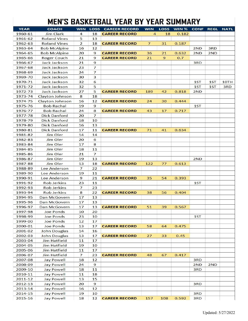### MEN'S BASKETBALL YEAR BY YEAR SUMMARY

| <b>YEAR</b> | <b>COACH</b>        | <b>WIN</b> |    | <b>LOSS CAREER RECORD</b> | <b>WIN</b>     | <b>LOSS</b> | WIN % | <b>CONF</b> | <b>REGL</b> | <b>NATL</b> |
|-------------|---------------------|------------|----|---------------------------|----------------|-------------|-------|-------------|-------------|-------------|
| 1960-61     | <b>Jim Clark</b>    | 4          | 18 | <b>CAREER RECORD</b>      | 4              | 18          | 0.182 |             |             |             |
| 1961-62     | <b>Roland Vines</b> | 5          | 13 |                           |                |             |       |             |             |             |
| 1962-63     | <b>Roland Vines</b> | 2          | 18 | <b>CAREER RECORD</b>      | $\overline{7}$ | 31          | 0.187 |             |             |             |
| 1963-64     | <b>Bob McAlpine</b> | 16         | 12 |                           |                |             |       | 2ND         | 3RD         |             |
| 1964-65     | <b>Bob McAlpine</b> | 20         | 9  | <b>CAREER RECORD</b>      | 36             | 21          | 0.632 | 2ND         | 2ND         |             |
| 1965-66     | Roger Couch         | 21         | 9  | <b>CAREER RECORD</b>      | 21             | 9           | 0.7   |             |             |             |
| 1966-67     | Jack Jackson        | 21         | 9  |                           |                |             |       | 3RD         |             |             |
| 1967-68     | Jack Jackson        | 23         | 7  |                           |                |             |       |             |             |             |
| 1968-69     | Jack Jackson        | 24         | 7  |                           |                |             |       |             |             |             |
| 1969-70     | Jack Jackson        | 30         | 3  |                           |                |             |       |             |             |             |
| 1970-71     | Jack Jackson        | 32         | 6  |                           |                |             |       | 1ST         | 1ST         | 10TH        |
| 1971-72     | Jack Jackson        | 32         | 5  |                           |                |             |       | 1ST         | 1ST         | 3RD         |
| 1972-73     | Jack Jackson        | 27         | 5  | <b>CAREER RECORD</b>      | 189            | 42          | 0.818 | 2ND         |             |             |
| 1973-74     | Clayton Johnson     | 8          | 18 |                           |                |             |       |             |             |             |
| 1974-75     | Clayton Johnson     | 16         | 12 | <b>CAREER RECORD</b>      | 24             | 30          | 0.444 |             |             |             |
| 1975-76     | <b>Bob Rachal</b>   | 19         | 9  |                           |                |             |       | 1ST         |             |             |
| 1976-77     | <b>Bob Rachal</b>   | 24         | 8  | <b>CAREER RECORD</b>      | 43             | 17          | 0.717 |             |             |             |
| 1977-78     | <b>Dick Danford</b> | 20         | 7  |                           |                |             |       |             |             |             |
| 1978-79     | <b>Dick Danford</b> | 18         | 10 |                           |                |             |       |             |             |             |
| 1979-80     | <b>Dick Danford</b> | 16         | 13 |                           |                |             |       |             |             |             |
| 1980-81     | <b>Dick Danford</b> | 17         | 11 | <b>CAREER RECORD</b>      | 71             | 41          | 0.634 |             |             |             |
| 1981-82     | Jim Oler            | 14         | 14 |                           |                |             |       |             |             |             |
| 1982-83     | Jim Oler            | 20         | 6  |                           |                |             |       |             |             |             |
| 1983-84     | Jim Oler            | 17         | 8  |                           |                |             |       |             |             |             |
| 1984-85     | Jim Oler            | 18         | 11 |                           |                |             |       |             |             |             |
| 1985-86     | Jim Oler            | 21         | 7  |                           |                |             |       |             |             |             |
| 1986-87     | Jim Oler            | 19         | 13 |                           |                |             |       | 2ND         |             |             |
| 1987-88     | Jim Oler            | 13         | 18 | <b>CAREER RECORD</b>      | 122            | 77          | 0.613 |             |             |             |
| 1988-89     | <b>Lee Anderson</b> | 7          | 22 |                           |                |             |       |             |             |             |
| 1989-90     | <b>Lee Anderson</b> | 19         | 11 |                           |                |             |       |             |             |             |
| 1990-91     | Lee Anderson        | 9          | 21 | <b>CAREER RECORD</b>      | 35             | 54          | 0.393 |             |             |             |
| 1991-92     | <b>Rob Jerkins</b>  | 23         | 11 |                           |                |             |       | 1ST         |             |             |
| 1992-93     | <b>Rob Jerkins</b>  | 7          | 23 |                           |                |             |       |             |             |             |
| 1993-94     | <b>Rob Jerkins</b>  | 8          | 22 | <b>CAREER RECORD</b>      | 38             | 56          | 0.404 |             |             |             |
| 1994-95     | Dan McGovern        | 17         | 13 |                           |                |             |       |             |             |             |
| 1995-96     | Dan McGovern        | 17         | 13 |                           |                |             |       |             |             |             |
| 1996-97     | Dan McGovern        | 17         | 13 | <b>CAREER RECORD</b>      | 51             | 39          | 0.567 |             |             |             |
| 1997-98     | Joe Ponds           | 10         | 20 |                           |                |             |       |             |             |             |
| 1998-99     | <b>Joe Ponds</b>    | 23         | 10 |                           |                |             |       | 1ST         |             |             |
| 1999-00     | <b>Joe Ponds</b>    | 12         | 17 |                           |                |             |       |             |             |             |
| 2000-01     | Joe Ponds           | 13         | 17 | <b>CAREER RECORD</b>      | 58             | 64          | 0.475 |             |             |             |
| 2001-02     | <b>John Douglas</b> | 14         | 16 |                           |                |             |       |             |             |             |
| 2002-03     | <b>John Douglas</b> | 13         | 17 | <b>CAREER RECORD</b>      | 27             | 33          | 0.45  |             |             |             |
| 2003-04     | <b>Jim Hatfield</b> | 11         | 17 |                           |                |             |       |             |             |             |
| 2004-05     | <b>Jim Hatfield</b> | 19         | 10 |                           |                |             |       |             |             |             |
| 2005-06     | <b>Jim Hatfield</b> | 11         | 17 |                           |                |             |       |             |             |             |
| 2006-07     | <b>Jim Hatfield</b> | 7          | 23 | <b>CAREER RECORD</b>      | 48             | 67          | 0.417 |             |             |             |
| 2007-08     | <b>Jay Powell</b>   | 18         | 12 |                           |                |             |       | 3RD         |             |             |
| 2008-09     | <b>Jay Powell</b>   | 24         | 9  |                           |                |             |       | 2ND         | 2ND         |             |
| 2009-10     | <b>Jay Powell</b>   | 18         | 11 |                           |                |             |       | 3RD         |             |             |
| 2010-11     | <b>Jay Powell</b>   | 11         | 18 |                           |                |             |       |             |             |             |
| $2011 - 12$ | <b>Jay Powell</b>   | 13         | 15 |                           |                |             |       |             |             |             |
| 2012-13     | <b>Jay Powell</b>   | 20         | 9  |                           |                |             |       | 3RD         |             |             |
| 2013-14     | <b>Jay Powell</b>   | 16         | 12 |                           |                |             |       |             |             |             |
| 2014-15     | <b>Jay Powell</b>   | 19         | 10 |                           |                |             |       | 3RD         |             |             |
| 2015-16     | <b>Jay Powell</b>   | 18         | 12 | <b>CAREER RECORD</b>      | 157            | 108         | 0.592 | 3RD         |             |             |